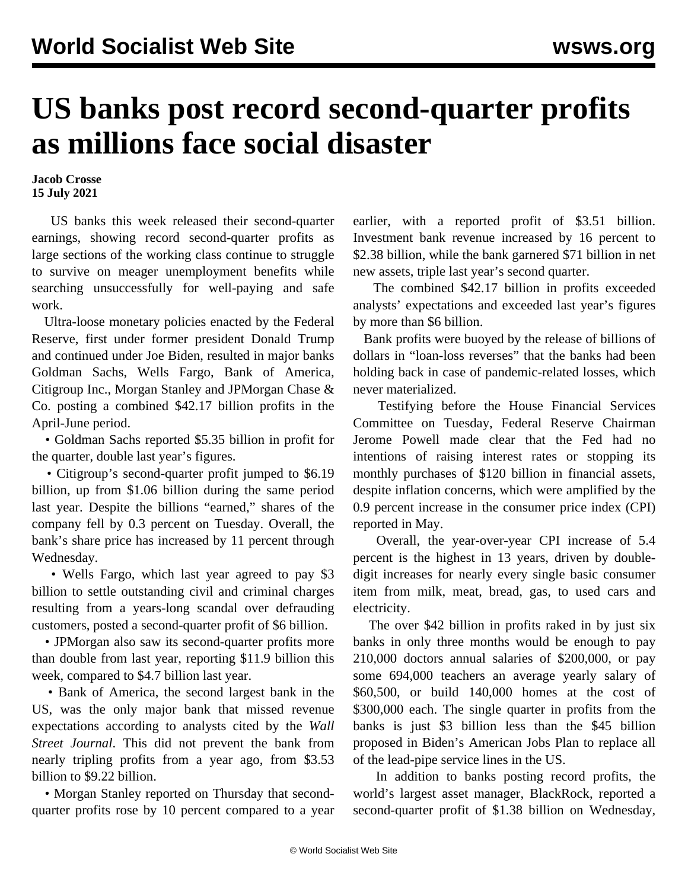## **US banks post record second-quarter profits as millions face social disaster**

**Jacob Crosse 15 July 2021**

 US banks this week released their second-quarter earnings, showing record second-quarter profits as large sections of the working class continue to struggle to survive on meager unemployment benefits while searching unsuccessfully for well-paying and safe work.

 Ultra-loose monetary policies enacted by the Federal Reserve, first under former president Donald Trump and continued under Joe Biden, resulted in major banks Goldman Sachs, Wells Fargo, Bank of America, Citigroup Inc., Morgan Stanley and JPMorgan Chase & Co. posting a combined \$42.17 billion profits in the April-June period.

 • Goldman Sachs reported \$5.35 billion in profit for the quarter, double last year's figures.

 • Citigroup's second-quarter profit jumped to \$6.19 billion, up from \$1.06 billion during the same period last year. Despite the billions "earned," shares of the company fell by 0.3 percent on Tuesday. Overall, the bank's share price has increased by 11 percent through Wednesday.

 • Wells Fargo, which last year agreed to pay \$3 billion to settle outstanding civil and criminal charges resulting from a years-long scandal over defrauding customers, posted a second-quarter profit of \$6 billion.

 • JPMorgan also saw its second-quarter profits more than double from last year, reporting \$11.9 billion this week, compared to \$4.7 billion last year.

 • Bank of America, the second largest bank in the US, was the only major bank that missed revenue expectations according to analysts cited by the *Wall Street Journal*. This did not prevent the bank from nearly tripling profits from a year ago, from \$3.53 billion to \$9.22 billion.

 • Morgan Stanley reported on Thursday that secondquarter profits rose by 10 percent compared to a year earlier, with a reported profit of \$3.51 billion. Investment bank revenue increased by 16 percent to \$2.38 billion, while the bank garnered \$71 billion in net new assets, triple last year's second quarter.

 The combined \$42.17 billion in profits exceeded analysts' expectations and exceeded last year's figures by more than \$6 billion.

 Bank profits were buoyed by the release of billions of dollars in "loan-loss reverses" that the banks had been holding back in case of pandemic-related losses, which never materialized.

 Testifying before the House Financial Services Committee on Tuesday, Federal Reserve Chairman Jerome Powell made clear that the Fed had no intentions of raising interest rates or stopping its monthly purchases of \$120 billion in financial assets, despite inflation concerns, which were amplified by the 0.9 percent increase in the consumer price index (CPI) reported in May.

 Overall, the year-over-year CPI increase of 5.4 percent is the highest in 13 years, driven by doubledigit increases for nearly every single basic consumer item from milk, meat, bread, gas, to used cars and electricity.

 The over \$42 billion in profits raked in by just six banks in only three months would be enough to pay 210,000 doctors annual salaries of \$200,000, or pay some 694,000 teachers an average yearly salary of \$60,500, or build 140,000 homes at the cost of \$300,000 each. The single quarter in profits from the banks is just \$3 billion less than the \$45 billion proposed in Biden's American Jobs Plan to replace all of the lead-pipe service lines in the US.

 In addition to banks posting record profits, the world's largest asset manager, BlackRock, reported a second-quarter profit of \$1.38 billion on Wednesday,